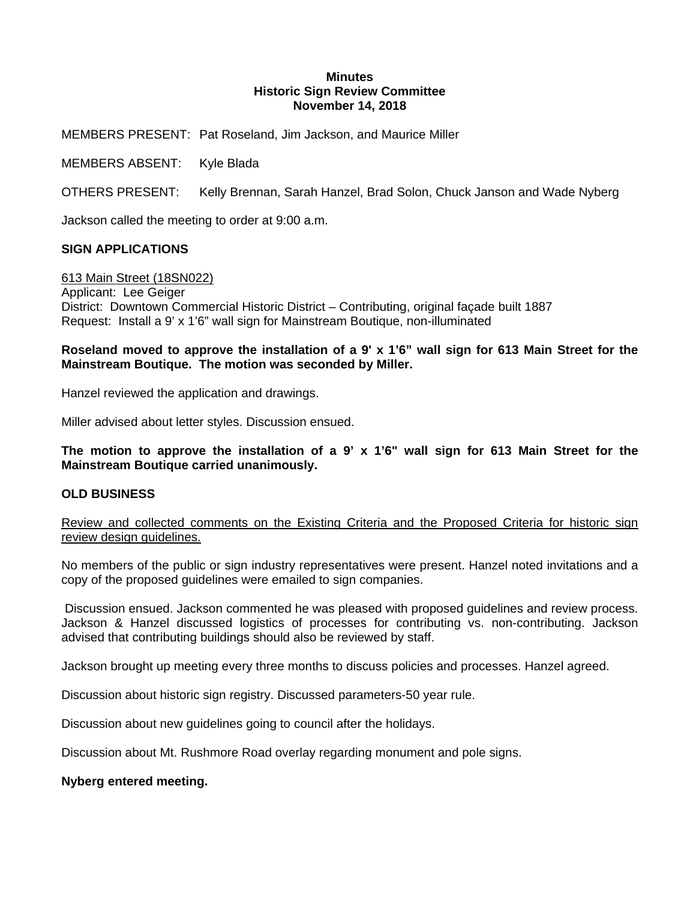#### **Minutes Historic Sign Review Committee November 14, 2018**

MEMBERS PRESENT: Pat Roseland, Jim Jackson, and Maurice Miller

MEMBERS ABSENT: Kyle Blada

OTHERS PRESENT: Kelly Brennan, Sarah Hanzel, Brad Solon, Chuck Janson and Wade Nyberg

Jackson called the meeting to order at 9:00 a.m.

## **SIGN APPLICATIONS**

613 Main Street (18SN022)

Applicant: Lee Geiger District: Downtown Commercial Historic District – Contributing, original façade built 1887 Request: Install a 9' x 1'6" wall sign for Mainstream Boutique, non-illuminated

# **Roseland moved to approve the installation of a 9' x 1'6" wall sign for 613 Main Street for the Mainstream Boutique. The motion was seconded by Miller.**

Hanzel reviewed the application and drawings.

Miller advised about letter styles. Discussion ensued.

**The motion to approve the installation of a 9' x 1'6" wall sign for 613 Main Street for the Mainstream Boutique carried unanimously.** 

## **OLD BUSINESS**

Review and collected comments on the Existing Criteria and the Proposed Criteria for historic sign review design guidelines.

No members of the public or sign industry representatives were present. Hanzel noted invitations and a copy of the proposed guidelines were emailed to sign companies.

 Discussion ensued. Jackson commented he was pleased with proposed guidelines and review process. Jackson & Hanzel discussed logistics of processes for contributing vs. non-contributing. Jackson advised that contributing buildings should also be reviewed by staff.

Jackson brought up meeting every three months to discuss policies and processes. Hanzel agreed.

Discussion about historic sign registry. Discussed parameters-50 year rule.

Discussion about new guidelines going to council after the holidays.

Discussion about Mt. Rushmore Road overlay regarding monument and pole signs.

## **Nyberg entered meeting.**